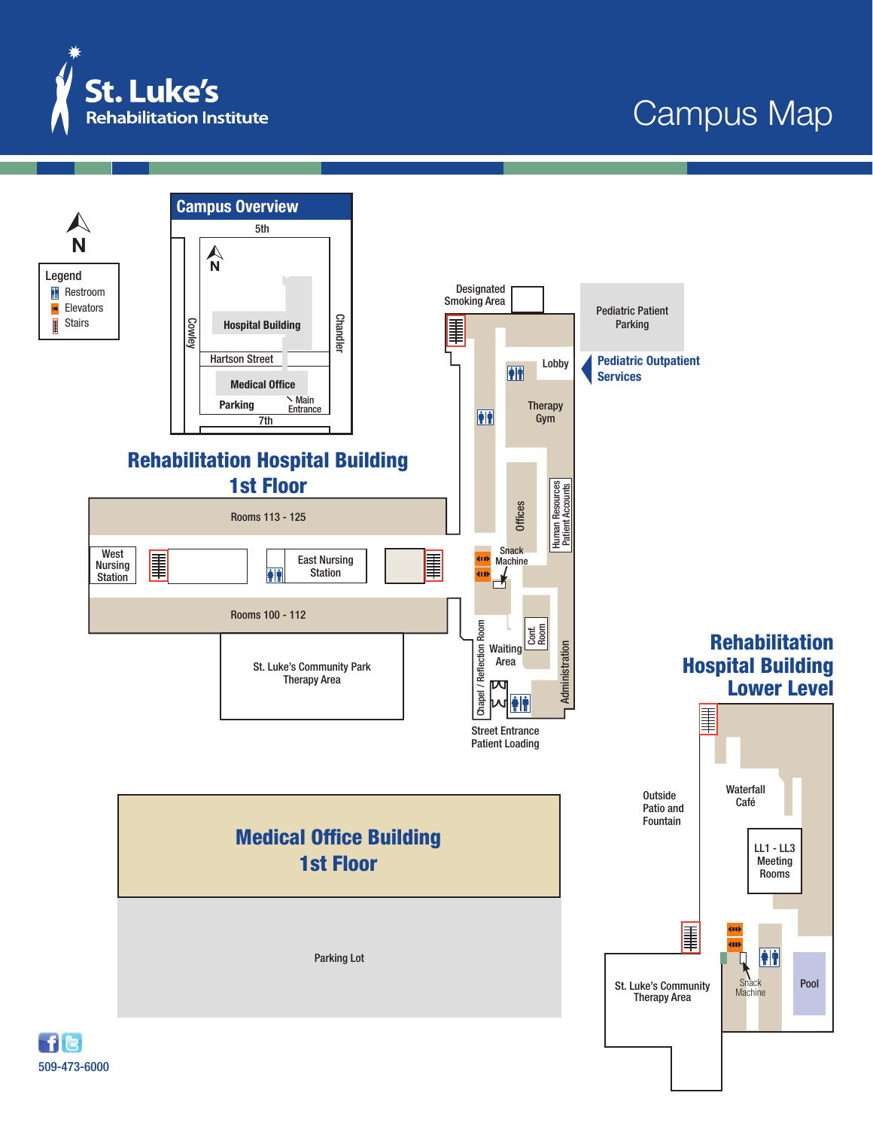

## Campus Map